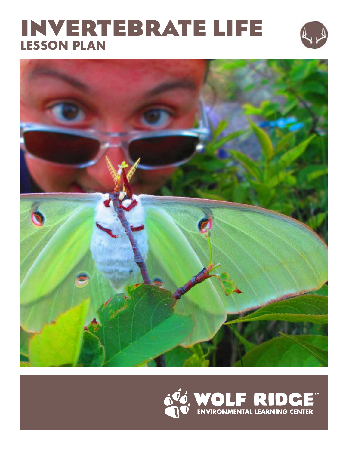## **INVERTEBRATE LIFE LESSON PLAN**





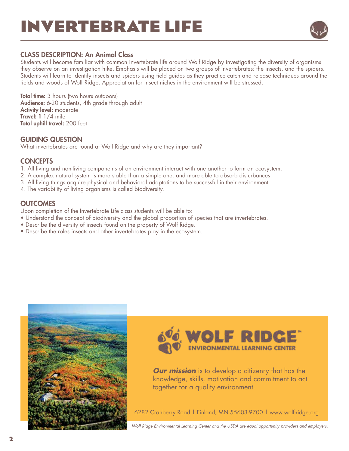## **INVERTEBRATE LIFE**



#### CLASS DESCRIPTION: An Animal Class

Students will become familiar with common invertebrate life around Wolf Ridge by investigating the diversity of organisms they observe on an investigation hike. Emphasis will be placed on two groups of invertebrates: the insects, and the spiders. Students will learn to identify insects and spiders using field guides as they practice catch and release techniques around the fields and woods of Wolf Ridge. Appreciation for insect niches in the environment will be stressed.

**Total time:** 3 hours (two hours outdoors) Audience: 6-20 students, 4th grade through adult Activity level: moderate Travel: 1 1/4 mile Total uphill travel: 200 feet

#### GUIDING QUESTION

What invertebrates are found at Wolf Ridge and why are they important?

#### **CONCEPTS**

- 1. All living and non-living components of an environment interact with one another to form an ecosystem.
- 2. A complex natural system is more stable than a simple one, and more able to absorb disturbances.
- 3. All living things acquire physical and behavioral adaptations to be successful in their environment.
- 4. The variability of living organisms is called biodiversity.

#### **OUTCOMES**

Upon completion of the Invertebrate Life class students will be able to:

- Understand the concept of biodiversity and the global proportion of species that are invertebrates.
- Describe the diversity of insects found on the property of Wolf Ridge.
- Describe the roles insects and other invertebrates play in the ecosystem.





*Our mission* is to develop a citizenry that has the knowledge, skills, motivation and commitment to act together for a quality environment.

6282 Cranberry Road | Finland, MN 55603-9700 | www.wolf-ridge.org

*Wolf Ridge Environmental Learning Center and the USDA are equal opportunity providers and employers.*